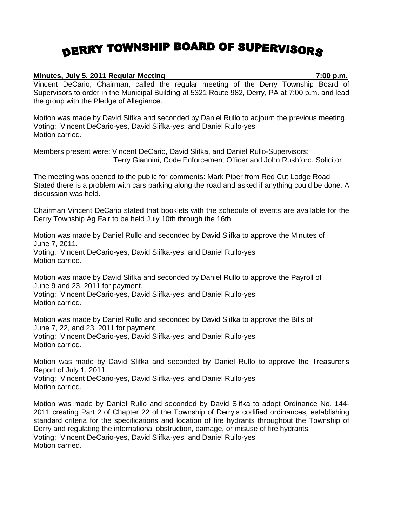## DERRY TOWNSHIP BOARD OF SUPERVISORS

## **Minutes, July 5, 2011 Regular Meeting 7:00 p.m.**

Vincent DeCario, Chairman, called the regular meeting of the Derry Township Board of Supervisors to order in the Municipal Building at 5321 Route 982, Derry, PA at 7:00 p.m. and lead the group with the Pledge of Allegiance.

Motion was made by David Slifka and seconded by Daniel Rullo to adjourn the previous meeting. Voting: Vincent DeCario-yes, David Slifka-yes, and Daniel Rullo-yes Motion carried.

Members present were: Vincent DeCario, David Slifka, and Daniel Rullo-Supervisors; Terry Giannini, Code Enforcement Officer and John Rushford, Solicitor

The meeting was opened to the public for comments: Mark Piper from Red Cut Lodge Road Stated there is a problem with cars parking along the road and asked if anything could be done. A discussion was held.

Chairman Vincent DeCario stated that booklets with the schedule of events are available for the Derry Township Ag Fair to be held July 10th through the 16th.

Motion was made by Daniel Rullo and seconded by David Slifka to approve the Minutes of June 7, 2011. Voting: Vincent DeCario-yes, David Slifka-yes, and Daniel Rullo-yes Motion carried.

Motion was made by David Slifka and seconded by Daniel Rullo to approve the Payroll of June 9 and 23, 2011 for payment.

Voting: Vincent DeCario-yes, David Slifka-yes, and Daniel Rullo-yes Motion carried.

Motion was made by Daniel Rullo and seconded by David Slifka to approve the Bills of June 7, 22, and 23, 2011 for payment. Voting: Vincent DeCario-yes, David Slifka-yes, and Daniel Rullo-yes Motion carried.

Motion was made by David Slifka and seconded by Daniel Rullo to approve the Treasurer's Report of July 1, 2011.

Voting: Vincent DeCario-yes, David Slifka-yes, and Daniel Rullo-yes Motion carried.

Motion was made by Daniel Rullo and seconded by David Slifka to adopt Ordinance No. 144- 2011 creating Part 2 of Chapter 22 of the Township of Derry's codified ordinances, establishing standard criteria for the specifications and location of fire hydrants throughout the Township of Derry and regulating the international obstruction, damage, or misuse of fire hydrants. Voting: Vincent DeCario-yes, David Slifka-yes, and Daniel Rullo-yes Motion carried.